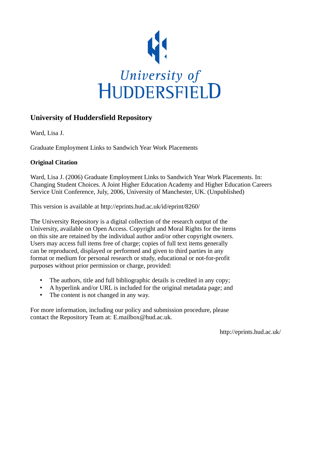

#### **University of Huddersfield Repository**

Ward, Lisa J.

Graduate Employment Links to Sandwich Year Work Placements

#### **Original Citation**

Ward, Lisa J. (2006) Graduate Employment Links to Sandwich Year Work Placements. In: Changing Student Choices. A Joint Higher Education Academy and Higher Education Careers Service Unit Conference, July, 2006, University of Manchester, UK. (Unpublished)

This version is available at http://eprints.hud.ac.uk/id/eprint/8260/

The University Repository is a digital collection of the research output of the University, available on Open Access. Copyright and Moral Rights for the items on this site are retained by the individual author and/or other copyright owners. Users may access full items free of charge; copies of full text items generally can be reproduced, displayed or performed and given to third parties in any format or medium for personal research or study, educational or not-for-profit purposes without prior permission or charge, provided:

- The authors, title and full bibliographic details is credited in any copy;
- A hyperlink and/or URL is included for the original metadata page; and
- The content is not changed in any way.

For more information, including our policy and submission procedure, please contact the Repository Team at: E.mailbox@hud.ac.uk.

http://eprints.hud.ac.uk/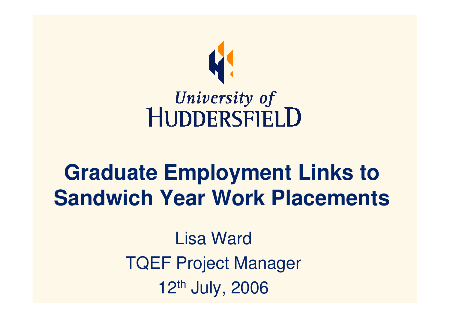

## University of<br>HUDDERSFIELD

#### **Graduate Employment Links to Sandwich Year Work Placements**

Lisa WardTQEF Project Manager12th July, 2006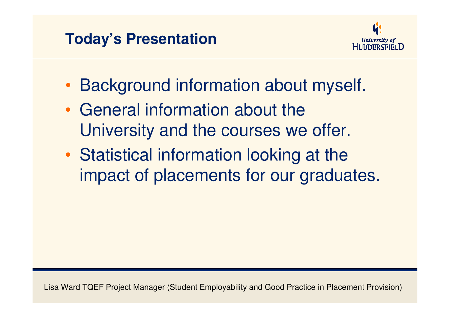#### **Today's Presentation**



- •Background information about myself.
- • General information about the University and the courses we offer.
- • Statistical information looking at the impact of placements for our graduates.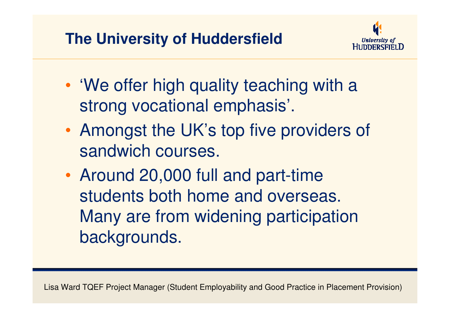#### **The University of Huddersfield**



- • 'We offer high quality teaching with a strong vocational emphasis'.
- • Amongst the UK's top five providers of sandwich courses.
- • Around 20,000 full and part-time students both home and overseas. Many are from widening participation backgrounds.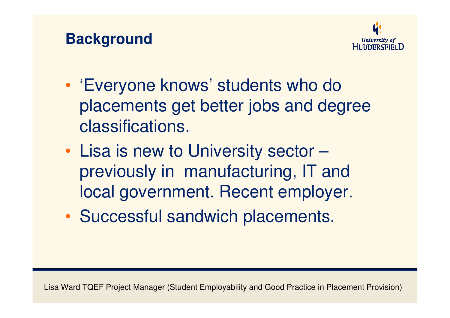



- • 'Everyone knows' students who do placements get better jobs and degree classifications.
- • Lisa is new to University sector – previously in manufacturing, IT and local government. Recent employer.
- •Successful sandwich placements.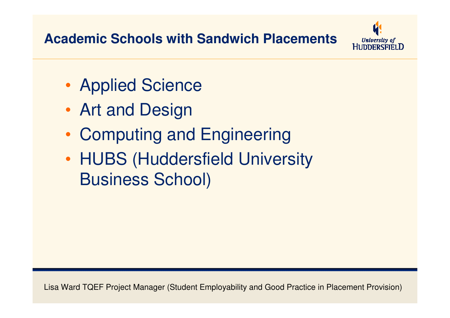#### **Academic Schools with Sandwich Placements**



- •Applied Science
- •Art and Design
- •Computing and Engineering
- •• HUBS (Huddersfield University Business School)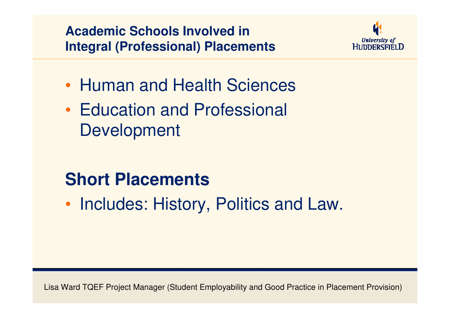**Academic Schools Involved in Integral (Professional) Placements**



- •• Human and Health Sciences
- •• Education and Professional **Development**

#### **Short Placements**

•• Includes: History, Politics and Law.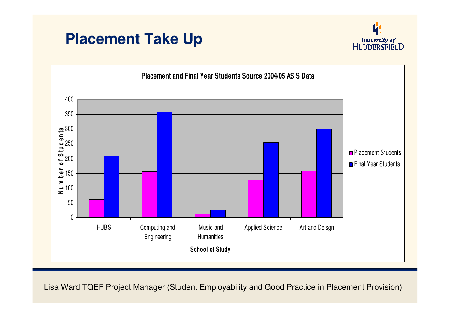#### **Placement Take Up**



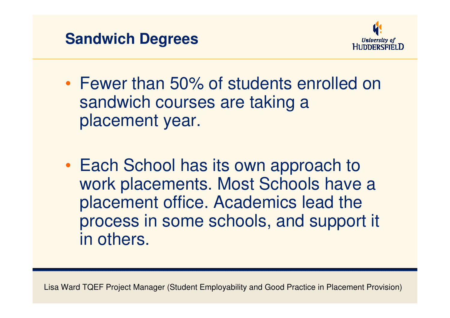



- • Fewer than 50% of students enrolled on sandwich courses are taking a placement year.
- •• Each School has its own approach to work placements. Most Schools have a placement office. Academics lead the process in some schools, and support it in others.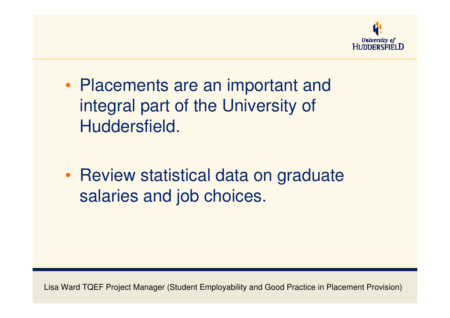

- • Placements are an important and integral part of the University of Huddersfield.
- •• Review statistical data on graduate salaries and job choices.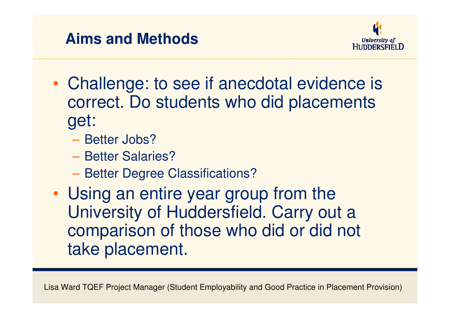#### **Aims and Methods**



- • Challenge: to see if anecdotal evidence is correct. Do students who did placements get:
	- Better Jobs?
	- $\mathcal{L}_{\mathcal{A}}$  , and the set of  $\mathcal{L}_{\mathcal{A}}$ - Better Salaries?
	- Better Degree Classifications?
- • Using an entire year group from the University of Huddersfield. Carry out a comparison of those who did or did not take placement.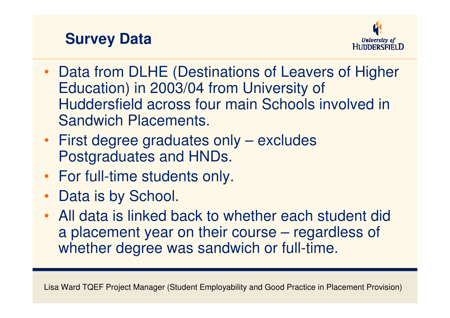#### **Survey Data**



- Data from DLHE (Destinations of Leavers of Higher Education) in 2003/04 from University of Huddersfield across four main Schools involved in Sandwich Placements.
- First degree graduates only excludes Postgraduates and HNDs.
- For full-time students only.
- Data is by School.
- All data is linked back to whether each student dida placement year on their course – regardless of whether degree was sandwich or full-time.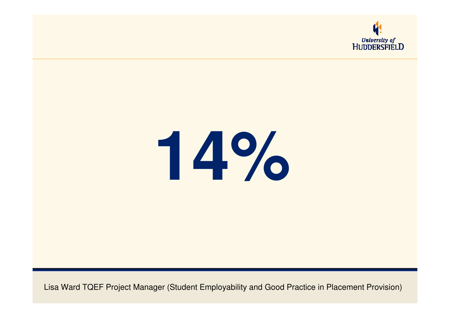

# **14%**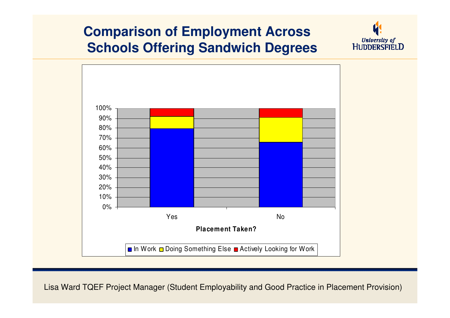#### **Comparison of Employment AcrossSchools Offering Sandwich Degrees**



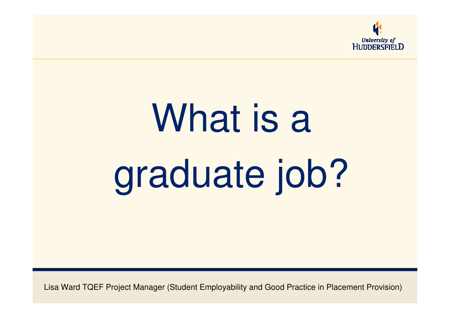

# What is a graduate job?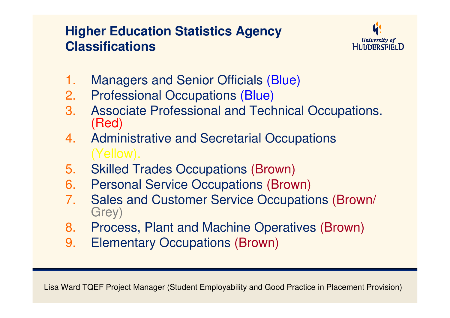#### **Higher Education Statistics Agency Classifications**



- 1.Managers and Senior Officials (Blue)
- 2. Professional Occupations (Blue)
- 3. Associate Professional and Technical Occupations. (Red)
- 4. Administrative and Secretarial Occupations(Yellow).
- 5.Skilled Trades Occupations (Brown)
- 6.Personal Service Occupations (Brown)
- 7.Sales and Customer Service Occupations (Brown/<br>Grey)
- 8. Process, Plant and Machine Operatives (Brown)
- 9.Elementary Occupations (Brown)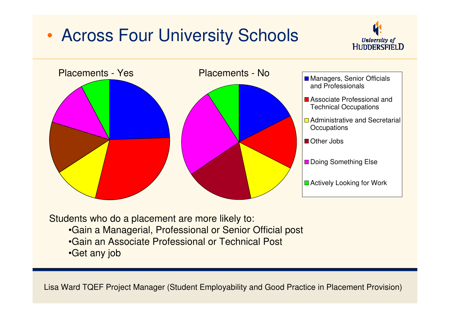#### $\bullet$ Across Four University Schools





Students who do a placement are more likely to:•Gain a Managerial, Professional or Senior Official post•Gain an Associate Professional or Technical Post•Get any job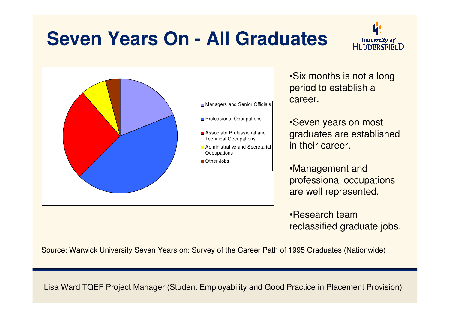#### **Seven Years On - All Graduates**





•Six months is not a long period to establish a career.

•Seven years on most graduates are established in their career.

•Management and professional occupations are well represented.

•Research team reclassified graduate jobs.

Source: Warwick University Seven Years on: Survey of the Career Path of 1995 Graduates (Nationwide)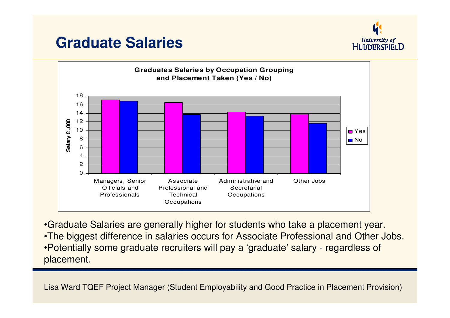#### **Graduate Salaries**





•Graduate Salaries are generally higher for students who take a placement year.•The biggest difference in salaries occurs for Associate Professional and Other Jobs.•Potentially some graduate recruiters will pay a 'graduate' salary - regardless of placement.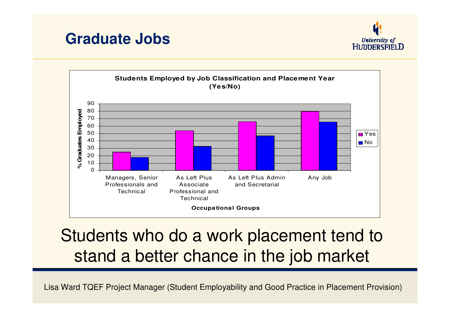





#### Students who do a work placement tend to stand a better chance in the job market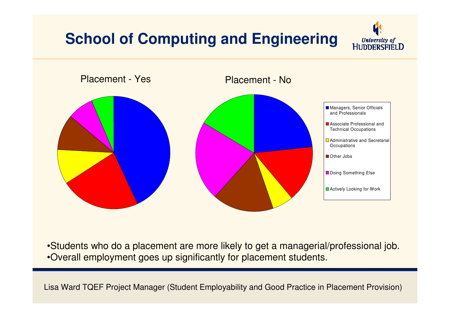#### **School of Computing and Engineering**





•Students who do a placement are more likely to get a managerial/professional job.•Overall employment goes up significantly for placement students.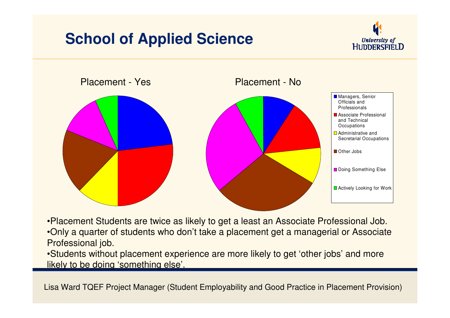#### **School of Applied Science**





•Placement Students are twice as likely to get a least an Associate Professional Job.•Only a quarter of students who don't take a placement get a managerial or Associate Professional job.

 •Students without placement experience are more likely to get 'other jobs' and more likely to be doing 'something else'.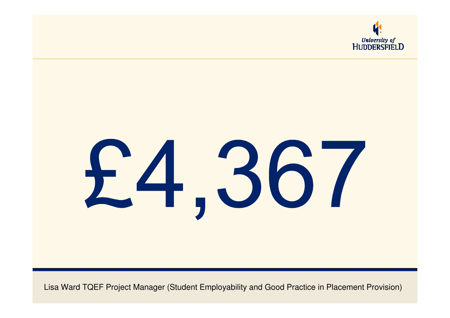

# £4,367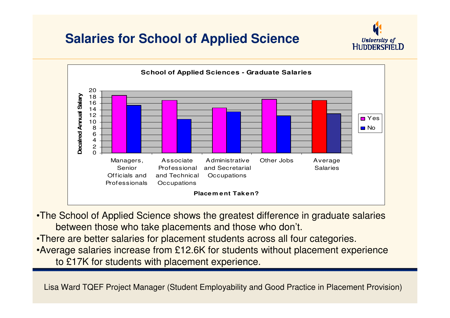#### **Salaries for School of Applied Science**





•The School of Applied Science shows the greatest difference in graduate salariesbetween those who take placements and those who don't.

•There are better salaries for placement students across all four categories. •Average salaries increase from £12.6K for students without placement experienceto £17K for students with placement experience.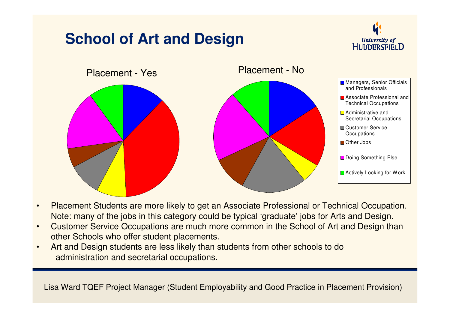#### **School of Art and Design**





- • Placement Students are more likely to get an Associate Professional or Technical Occupation. Note: many of the jobs in this category could be typical 'graduate' jobs for Arts and Design.
- • Customer Service Occupations are much more common in the School of Art and Design than other Schools who offer student placements.
- Art and Design students are less likely than students from other schools to do•administration and secretarial occupations.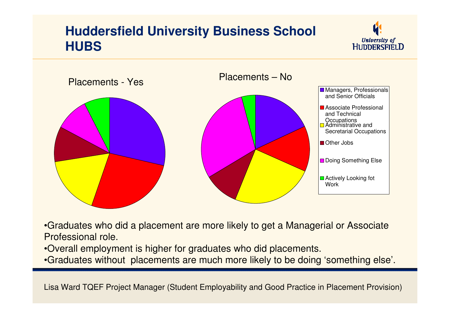#### **Huddersfield University Business School HUBS**





•Graduates who did a placement are more likely to get a Managerial or Associate Professional role.

•Overall employment is higher for graduates who did placements.

•Graduates without placements are much more likely to be doing 'something else'.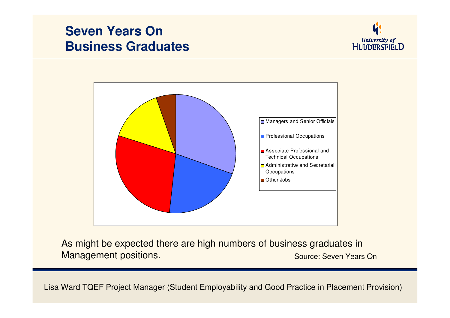#### **Seven Years OnBusiness Graduates**





As might be expected there are high numbers of business graduates in**Source: Seven Years On Allen Active Seven Seven Years On** Management positions.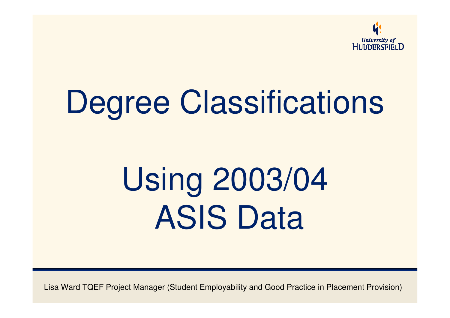

## Degree Classifications

## Using 2003/04ASIS Data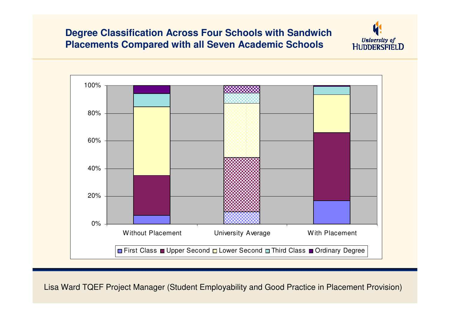#### **Degree Classification Across Four Schools with Sandwich Placements Compared with all Seven Academic Schools**



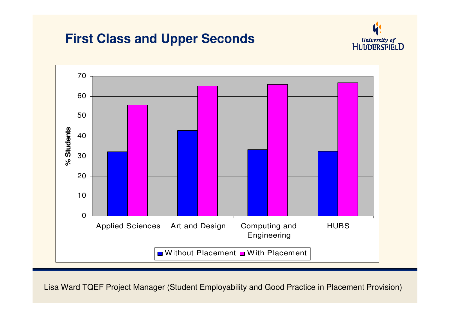#### **First Class and Upper Seconds**



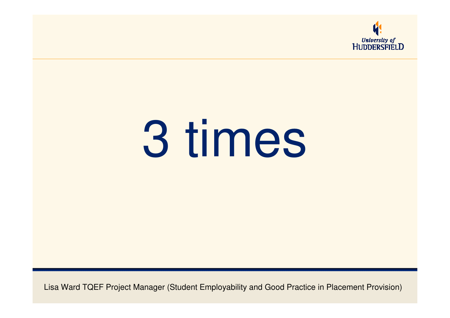

# 3 times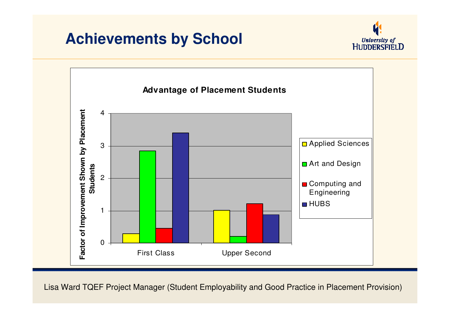#### **Achievements by School**



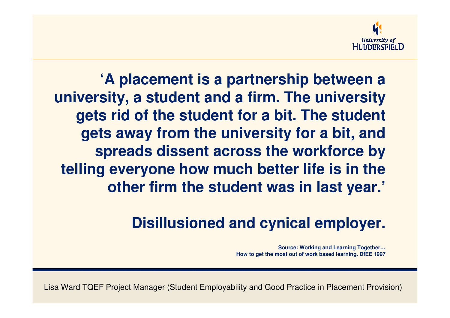

**'A placement is a partnership between a university, a student and a firm. The university gets rid of the student for a bit. The student gets away from the university for a bit, and spreads dissent across the workforce by telling everyone how much better life is in the other firm the student was in last year.'**

#### **Disillusioned and cynical employer.**

**Source: Working and Learning Together…How to get the most out of work based learning. DfEE 1997**